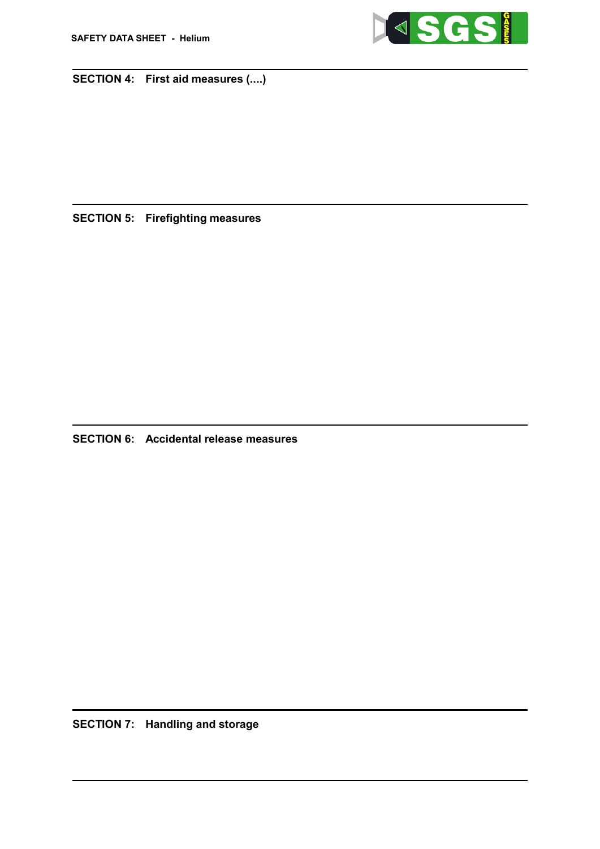

## SECTION 4: First aid measures (....)

Danger of suffocation at high concentrations due to oxygen displacement Exposure to oxygen deficient atmosphere may cause the following symptoms: dizziness, salivation, nausea, vomiting, loss of mobility/consciousness. Asphyxiation may bring about unconsciousness without warning and so rapidly that victim may be unable to protect themselves.

4.3 Indication of any immediate medical attention and special treatment needed

- Treat symptomatically
- If breathing is difficult, oxygen should be given by a trained person

## SECTION 5: Firefighting measures

- 5.1 Extinguishing media
	- Suitable extinguishing media: Not flammable. In case of fire use extinguishing media appropriate to surrounding conditions
	- Unsuitable extinguishing media: High volume water jet

5.2 Special hazards arising from the substance or mixture

- In a fire or if heated, a pressure increase will occur and the container may burst
- Inform Fire Brigade of potential danger of exploding and rocketing cylinders
- 5.3 Advice for firefighters
	- Special protective equipment: Wear self-contained breathing apparatus (SCBA). Wear full protective clothing including chemical protection suit.
	- Keep container(s) exposed to fire cool, by spraying with water
	- Collect contaminated fire extinguishing water separately. This MUST not be discharged into drains. Prevent fire extinguishing water from contaminating surface or ground water.

## SECTION 6: Accidental release measures

6.1 Personal precautions, protective equipment and emergency procedures

- No action shall be taken involving any personal risk or without suitable training
- Only trained and authorised personnel should carry out emergency response
- Personal precautions for non-emergency personnel: Avoid breathing vapours, mist or gas
- Personal precautions for emergency responders: Evacuate the area and keep personnel upwind; Ensure adequate ventilation; Avoid breathing vapours, mist or gas; Monitor oxygen level; Wear protective clothing as per section 8
- 6.2 Environmental precautions
	- Do not release to the environment except for emergency ventilation.
- 6.3 Methods and material for containment and cleaning up
	- Ventilate area
	- Additional advice: If possible, stop flow of product. Increase ventilation to the release area and monitor oxygen level. If leak is from cylinder or cylinder valve, call the SGS Gases telephone number. If the leak is in the user's system, close the cylinder valve and safely vent the pressure before attempting repairs.
	- Cylinder should be inspected and tested if leak occurs.
- 6.4 Reference to other sections
	- See section(s): 7, 8 & 13

## SECTION 7: Handling and storage

7.1 Precautions for safe handling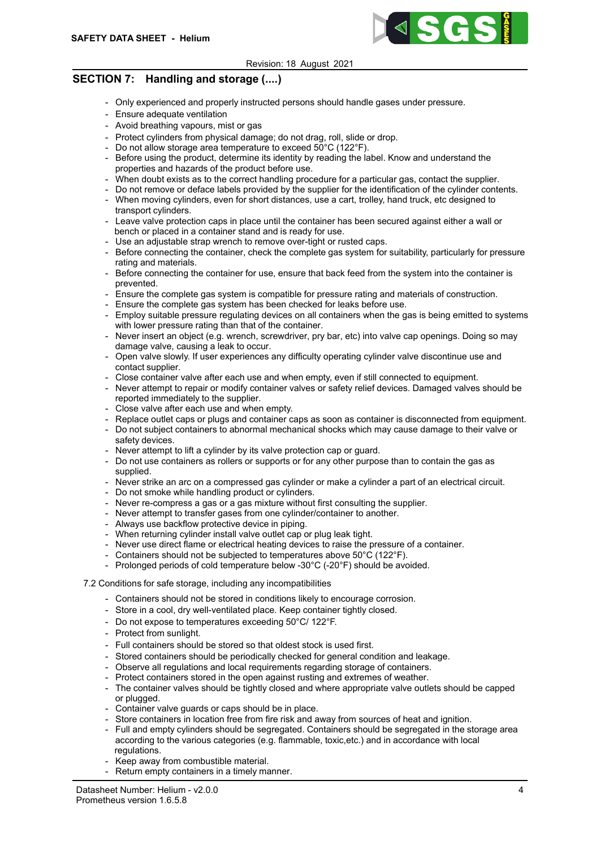

## SECTION 7: Handling and storage (....)

- Only experienced and properly instructed persons should handle gases under pressure.
- Ensure adequate ventilation
- Avoid breathing vapours, mist or gas
- Protect cylinders from physical damage; do not drag, roll, slide or drop.
- Do not allow storage area temperature to exceed 50°C (122°F).
- Before using the product, determine its identity by reading the label. Know and understand the properties and hazards of the product before use.
- When doubt exists as to the correct handling procedure for a particular gas, contact the supplier.
- Do not remove or deface labels provided by the supplier for the identification of the cylinder contents.
- When moving cylinders, even for short distances, use a cart, trolley, hand truck, etc designed to transport cylinders.
- Leave valve protection caps in place until the container has been secured against either a wall or bench or placed in a container stand and is ready for use.
- Use an adjustable strap wrench to remove over-tight or rusted caps.
- Before connecting the container, check the complete gas system for suitability, particularly for pressure rating and materials.
- Before connecting the container for use, ensure that back feed from the system into the container is prevented.
- Ensure the complete gas system is compatible for pressure rating and materials of construction.
- Ensure the complete gas system has been checked for leaks before use.
- Employ suitable pressure regulating devices on all containers when the gas is being emitted to systems with lower pressure rating than that of the container.
- Never insert an object (e.g. wrench, screwdriver, pry bar, etc) into valve cap openings. Doing so may damage valve, causing a leak to occur.
- Open valve slowly. If user experiences any difficulty operating cylinder valve discontinue use and contact supplier.
- Close container valve after each use and when empty, even if still connected to equipment.
- Never attempt to repair or modify container valves or safety relief devices. Damaged valves should be reported immediately to the supplier.
- Close valve after each use and when empty.
- Replace outlet caps or plugs and container caps as soon as container is disconnected from equipment.
- Do not subject containers to abnormal mechanical shocks which may cause damage to their valve or safety devices.
- Never attempt to lift a cylinder by its valve protection cap or quard.
- Do not use containers as rollers or supports or for any other purpose than to contain the gas as supplied.
- Never strike an arc on a compressed gas cylinder or make a cylinder a part of an electrical circuit.
- Do not smoke while handling product or cylinders.
- Never re-compress a gas or a gas mixture without first consulting the supplier.
- Never attempt to transfer gases from one cylinder/container to another.
- Always use backflow protective device in piping.
- When returning cylinder install valve outlet cap or plug leak tight.
- Never use direct flame or electrical heating devices to raise the pressure of a container.
- Containers should not be subjected to temperatures above 50°C (122°F).
- Prolonged periods of cold temperature below -30°C (-20°F) should be avoided.

### 7.2 Conditions for safe storage, including any incompatibilities

- Containers should not be stored in conditions likely to encourage corrosion.
- Store in a cool, dry well-ventilated place. Keep container tightly closed.
- Do not expose to temperatures exceeding 50°C/ 122°F.
- Protect from sunlight.
- Full containers should be stored so that oldest stock is used first.
- Stored containers should be periodically checked for general condition and leakage.
- Observe all regulations and local requirements regarding storage of containers.
- Protect containers stored in the open against rusting and extremes of weather.
- The container valves should be tightly closed and where appropriate valve outlets should be capped or plugged.
- Container valve guards or caps should be in place.
- Store containers in location free from fire risk and away from sources of heat and ignition.
- Full and empty cylinders should be segregated. Containers should be segregated in the storage area according to the various categories (e.g. flammable, toxic,etc.) and in accordance with local regulations.
- Keep away from combustible material.
- Return empty containers in a timely manner.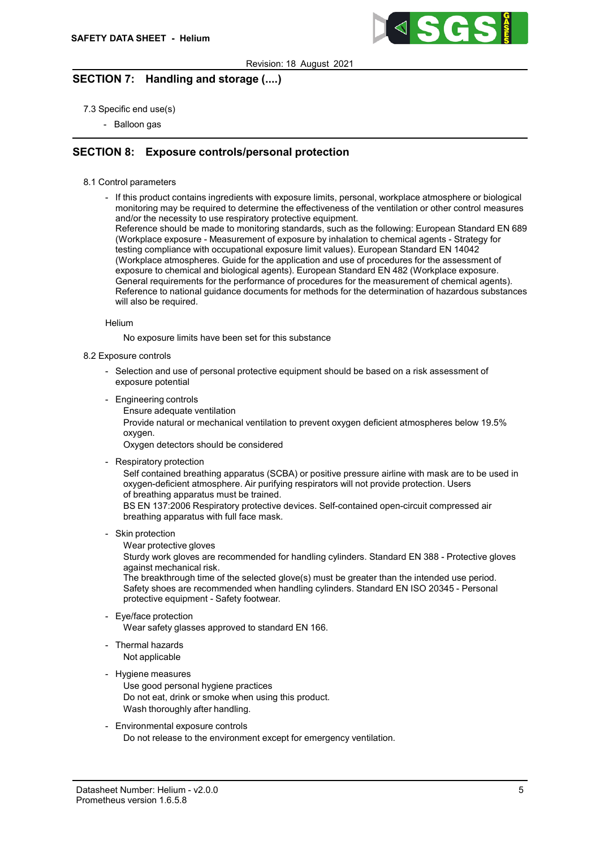

## SECTION 7: Handling and storage (....)

- 7.3 Specific end use(s)
	- Balloon gas

## SECTION 8: Exposure controls/personal protection

- 8.1 Control parameters
	- If this product contains ingredients with exposure limits, personal, workplace atmosphere or biological monitoring may be required to determine the effectiveness of the ventilation or other control measures and/or the necessity to use respiratory protective equipment.

Reference should be made to monitoring standards, such as the following: European Standard EN 689 (Workplace exposure - Measurement of exposure by inhalation to chemical agents - Strategy for testing compliance with occupational exposure limit values). European Standard EN 14042 (Workplace atmospheres. Guide for the application and use of procedures for the assessment of exposure to chemical and biological agents). European Standard EN 482 (Workplace exposure. General requirements for the performance of procedures for the measurement of chemical agents). Reference to national guidance documents for methods for the determination of hazardous substances will also be required.

#### Helium

No exposure limits have been set for this substance

#### 8.2 Exposure controls

- Selection and use of personal protective equipment should be based on a risk assessment of exposure potential
- Engineering controls
	- Ensure adequate ventilation

Provide natural or mechanical ventilation to prevent oxygen deficient atmospheres below 19.5% oxygen.

Oxygen detectors should be considered

- Respiratory protection

Self contained breathing apparatus (SCBA) or positive pressure airline with mask are to be used in oxygen-deficient atmosphere. Air purifying respirators will not provide protection. Users of breathing apparatus must be trained.

BS EN 137:2006 Respiratory protective devices. Self-contained open-circuit compressed air breathing apparatus with full face mask.

- Skin protection
	- Wear protective gloves

Sturdy work gloves are recommended for handling cylinders. Standard EN 388 - Protective gloves against mechanical risk.

The breakthrough time of the selected glove(s) must be greater than the intended use period. Safety shoes are recommended when handling cylinders. Standard EN ISO 20345 - Personal protective equipment - Safety footwear.

- Eye/face protection

Wear safety glasses approved to standard EN 166.

- Thermal hazards Not applicable

### - Hygiene measures

- Use good personal hygiene practices Do not eat, drink or smoke when using this product. Wash thoroughly after handling.
- Environmental exposure controls Do not release to the environment except for emergency ventilation.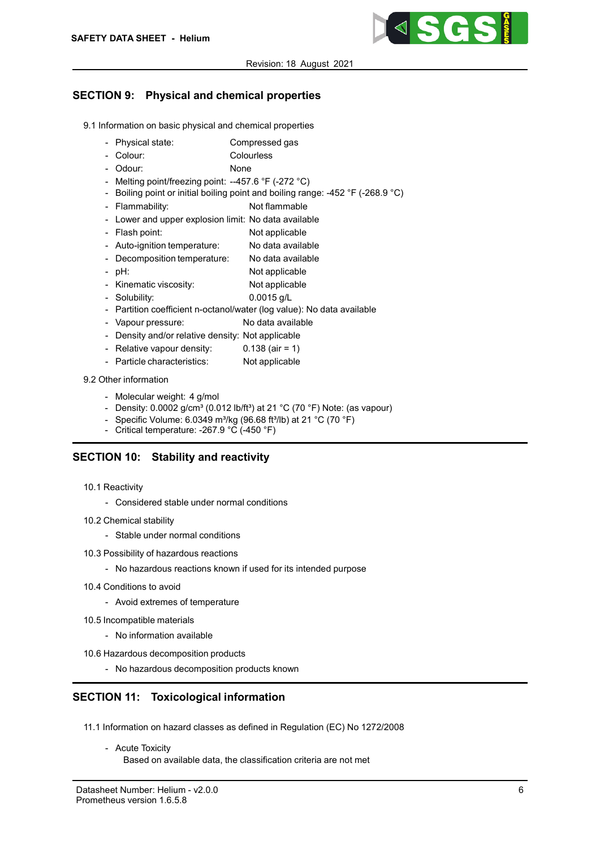

# SECTION 9: Physical and chemical properties

- 9.1 Information on basic physical and chemical properties
	- Physical state: Compressed gas
	- Colour: Colourless
	- Odour: None
	- Melting point/freezing point: --457.6 °F (-272 °C)
	- Boiling point or initial boiling point and boiling range: -452 °F (-268.9 °C)
	- Flammability: Not flammable
	- Lower and upper explosion limit: No data available
	- Flash point: Not applicable
	- Auto-ignition temperature: No data available
	- Decomposition temperature: No data available
	- pH: Not applicable
	- Kinematic viscosity: Not applicable
	- Solubility: 0.0015 g/L
	- Partition coefficient n-octanol/water (log value): No data available
	- Vapour pressure: No data available
	- Density and/or relative density: Not applicable
	- Relative vapour density: 0.138 (air = 1)
	- Particle characteristics: Not applicable

## 9.2 Other information

- Molecular weight: 4 g/mol
- Density:  $0.0002$  g/cm<sup>3</sup> (0.012 lb/ft<sup>3</sup>) at 21 °C (70 °F) Note: (as vapour)
- Specific Volume:  $6.0349 \text{ m}^3/\text{kg}$  (96.68 ft $^3$ /lb) at 21 °C (70 °F)
- Critical temperature: -267.9 °C (-450 °F)

## SECTION 10: Stability and reactivity

- 10.1 Reactivity
	- Considered stable under normal conditions
- 10.2 Chemical stability
	- Stable under normal conditions
- 10.3 Possibility of hazardous reactions
	- No hazardous reactions known if used for its intended purpose
- 10.4 Conditions to avoid
	- Avoid extremes of temperature
- 10.5 Incompatible materials
	- No information available
- 10.6 Hazardous decomposition products
	- No hazardous decomposition products known

# SECTION 11: Toxicological information

- 11.1 Information on hazard classes as defined in Regulation (EC) No 1272/2008
	- Acute Toxicity

Based on available data, the classification criteria are not met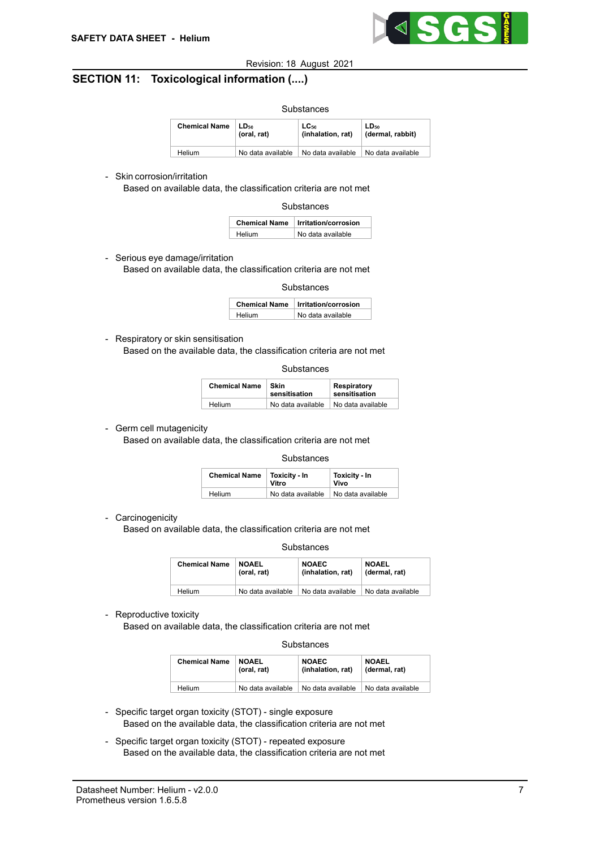

## SECTION 11: Toxicological information (....)

| Substances           |                                 |                                |                                      |
|----------------------|---------------------------------|--------------------------------|--------------------------------------|
| <b>Chemical Name</b> | LD <sub>50</sub><br>(oral, rat) | $LC_{50}$<br>(inhalation, rat) | LD <sub>50</sub><br>(dermal, rabbit) |
| Helium               | No data available               | No data available              | No data available                    |

### - Skin corrosion/irritation

Based on available data, the classification criteria are not met

**Substances** 

|        | <b>Chemical Name Irritation/corrosion</b> |
|--------|-------------------------------------------|
| Helium | No data available                         |

- Serious eye damage/irritation Based on available data, the classification criteria are not met

Substances

| <b>Chemical Name</b> | Irritation/corrosion |
|----------------------|----------------------|
| Helium               | No data available    |

- Respiratory or skin sensitisation

Based on the available data, the classification criteria are not met

| <b>Chemical Name</b> | Skin<br>sensitisation | Respiratory<br>sensitisation |
|----------------------|-----------------------|------------------------------|
| Helium               | No data available     | No data available            |

- Germ cell mutagenicity

Based on available data, the classification criteria are not met

#### **Substances**

| <b>Chemical Name</b> | Toxicity - In<br>Vitro                | Toxicity - In<br>Vivo |
|----------------------|---------------------------------------|-----------------------|
| Helium               | No data available   No data available |                       |

- Carcinogenicity

Based on available data, the classification criteria are not met

#### Substances

| <b>Chemical Name</b> | <b>NOAEL</b>      | <b>NOAEC</b>      | <b>NOAEL</b>      |
|----------------------|-------------------|-------------------|-------------------|
|                      | (oral, rat)       | (inhalation, rat) | (dermal, rat)     |
| Helium               | No data available | No data available | No data available |

- Reproductive toxicity

Based on available data, the classification criteria are not met

#### **Substances**

| <b>Chemical Name</b> | <b>NOAEL</b>      | <b>NOAEC</b>      | <b>NOAEL</b>      |
|----------------------|-------------------|-------------------|-------------------|
|                      | (oral, rat)       | (inhalation, rat) | (dermal, rat)     |
| Helium               | No data available | No data available | No data available |

- Specific target organ toxicity (STOT) single exposure Based on the available data, the classification criteria are not met
- Specific target organ toxicity (STOT) repeated exposure Based on the available data, the classification criteria are not met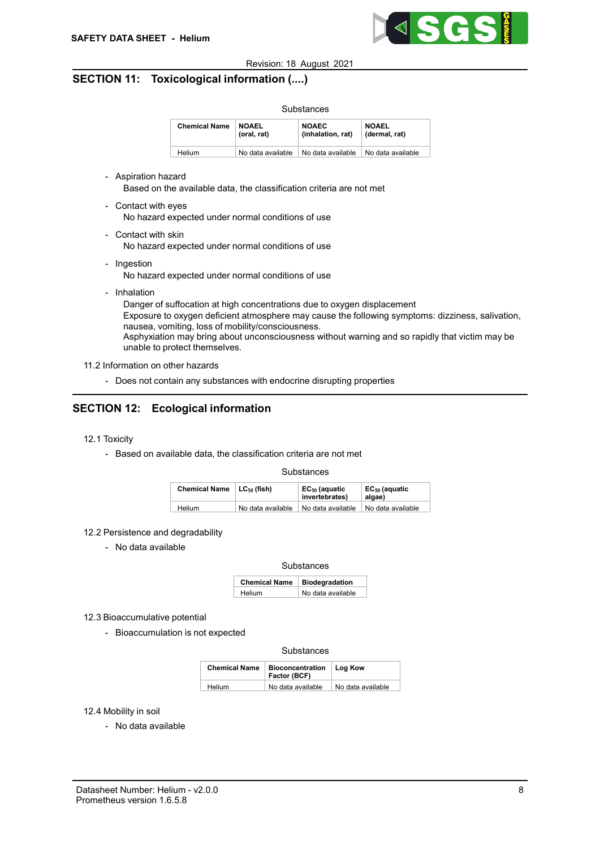

## SECTION 11: Toxicological information (....)

| Substances           |                             |                                   |                               |
|----------------------|-----------------------------|-----------------------------------|-------------------------------|
| <b>Chemical Name</b> | <b>NOAEL</b><br>(oral, rat) | <b>NOAEC</b><br>(inhalation, rat) | <b>NOAEL</b><br>(dermal, rat) |
| <b>Helium</b>        | No data available           | No data available                 | No data available             |

- Aspiration hazard Based on the available data, the classification criteria are not met
- Contact with eyes

No hazard expected under normal conditions of use

- Contact with skin

No hazard expected under normal conditions of use

- Ingestion No hazard expected under normal conditions of use
- Inhalation

Danger of suffocation at high concentrations due to oxygen displacement Exposure to oxygen deficient atmosphere may cause the following symptoms: dizziness, salivation, nausea, vomiting, loss of mobility/consciousness. Asphyxiation may bring about unconsciousness without warning and so rapidly that victim may be unable to protect themselves.

#### 11.2 Information on other hazards

- Does not contain any substances with endocrine disrupting properties

## SECTION 12: Ecological information

- 12.1 Toxicity
	- Based on available data, the classification criteria are not met

#### **Substances**

| <b>Chemical Name</b> | LC <sub>50</sub> (fish) | EC <sub>50</sub> (aquatic<br>invertebrates) | EC <sub>50</sub> (aquatic<br>algae) |
|----------------------|-------------------------|---------------------------------------------|-------------------------------------|
| Helium               | No data available       | No data available                           | No data available                   |

#### 12.2 Persistence and degradability

- No data available

#### **Substances**

| Chemical Name   Biodegradation |                   |
|--------------------------------|-------------------|
| Helium                         | No data available |

- 12.3 Bioaccumulative potential
	- Bioaccumulation is not expected

#### Substances

| <b>Chemical Name</b> | Bioconcentration   Log Kow<br>Factor (BCF) |                   |
|----------------------|--------------------------------------------|-------------------|
| Helium               | No data available                          | No data available |

#### 12.4 Mobility in soil

- No data available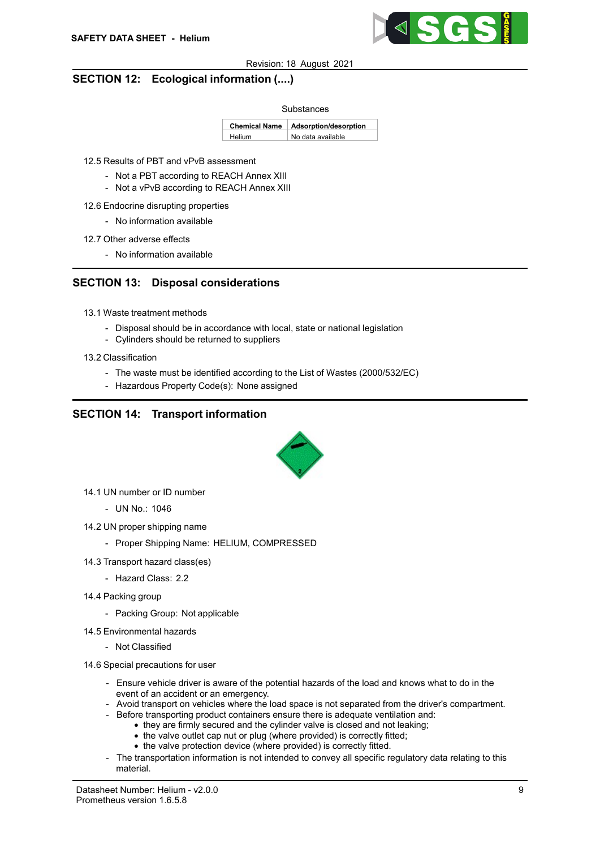

## SECTION 12: Ecological information (....)

#### Substances

Chemical Name Adsorption/desorption Helium No data available

12.5 Results of PBT and vPvB assessment

- Not a PBT according to REACH Annex XIII
- Not a vPvB according to REACH Annex XIII
- 12.6 Endocrine disrupting properties
	- No information available
- 12.7 Other adverse effects
	- No information available

## SECTION 13: Disposal considerations

- 13.1 Waste treatment methods
	- Disposal should be in accordance with local, state or national legislation
	- Cylinders should be returned to suppliers
- 13.2 Classification
	- The waste must be identified according to the List of Wastes (2000/532/EC)
	- Hazardous Property Code(s): None assigned

## SECTION 14: Transport information



- 14.1 UN number or ID number
	- UN No.: 1046
- 14.2 UN proper shipping name
	- Proper Shipping Name: HELIUM, COMPRESSED
- 14.3 Transport hazard class(es)
	- Hazard Class: 2.2
- 14.4 Packing group
	- Packing Group: Not applicable
- 14.5 Environmental hazards
	- Not Classified
- 14.6 Special precautions for user
	- Ensure vehicle driver is aware of the potential hazards of the load and knows what to do in the event of an accident or an emergency.
	- Avoid transport on vehicles where the load space is not separated from the driver's compartment.
	- Before transporting product containers ensure there is adequate ventilation and:
		- they are firmly secured and the cylinder valve is closed and not leaking:
		- the valve outlet cap nut or plug (where provided) is correctly fitted; • the valve protection device (where provided) is correctly fitted.
	- The transportation information is not intended to convey all specific regulatory data relating to this material.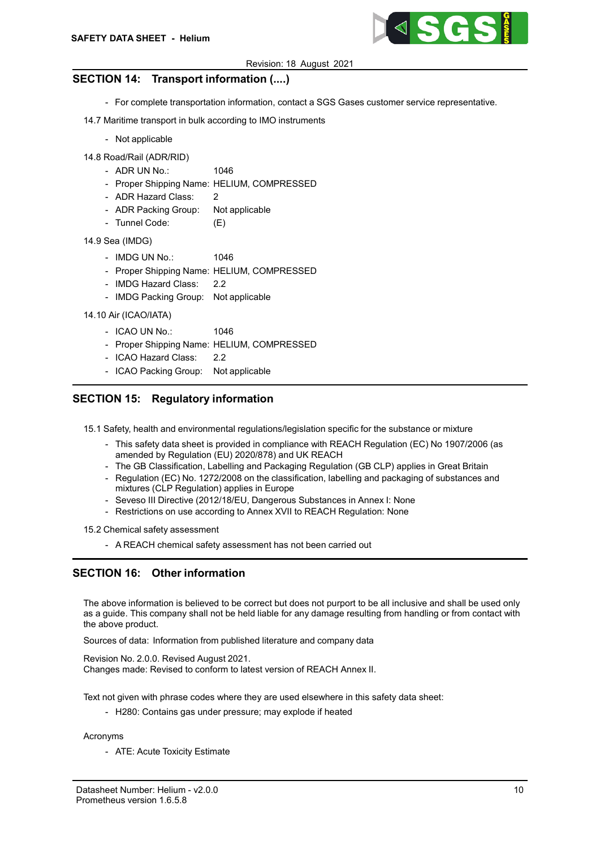

## SECTION 14: Transport information (....)

- For complete transportation information, contact a SGS Gases customer service representative.
- 14.7 Maritime transport in bulk according to IMO instruments
	- Not applicable
- 14.8 Road/Rail (ADR/RID)
	- ADR UN No.: 1046
	- Proper Shipping Name: HELIUM, COMPRESSED
	- ADR Hazard Class: 2
	- ADR Packing Group: Not applicable
	- Tunnel Code: (E)
- 14.9 Sea (IMDG)
	- IMDG UN No.: 1046
	- Proper Shipping Name: HELIUM, COMPRESSED
	- IMDG Hazard Class: 2.2
	- IMDG Packing Group: Not applicable

14.10 Air (ICAO/IATA)

- ICAO UN No.: 1046
- Proper Shipping Name: HELIUM, COMPRESSED
- ICAO Hazard Class: 2.2
- ICAO Packing Group: Not applicable

## SECTION 15: Regulatory information

15.1 Safety, health and environmental regulations/legislation specific for the substance or mixture

- This safety data sheet is provided in compliance with REACH Regulation (EC) No 1907/2006 (as amended by Regulation (EU) 2020/878) and UK REACH
- The GB Classification, Labelling and Packaging Regulation (GB CLP) applies in Great Britain
- Regulation (EC) No. 1272/2008 on the classification, labelling and packaging of substances and mixtures (CLP Regulation) applies in Europe
- Seveso III Directive (2012/18/EU, Dangerous Substances in Annex I: None
- Restrictions on use according to Annex XVII to REACH Regulation: None

15.2 Chemical safety assessment

- A REACH chemical safety assessment has not been carried out

## SECTION 16: Other information

The above information is believed to be correct but does not purport to be all inclusive and shall be used only as a guide. This company shall not be held liable for any damage resulting from handling or from contact with the above product.

Sources of data: Information from published literature and company data

Revision No. 2.0.0. Revised August 2021. Changes made: Revised to conform to latest version of REACH Annex II.

Text not given with phrase codes where they are used elsewhere in this safety data sheet:

- H280: Contains gas under pressure; may explode if heated

### Acronyms

- ATE: Acute Toxicity Estimate